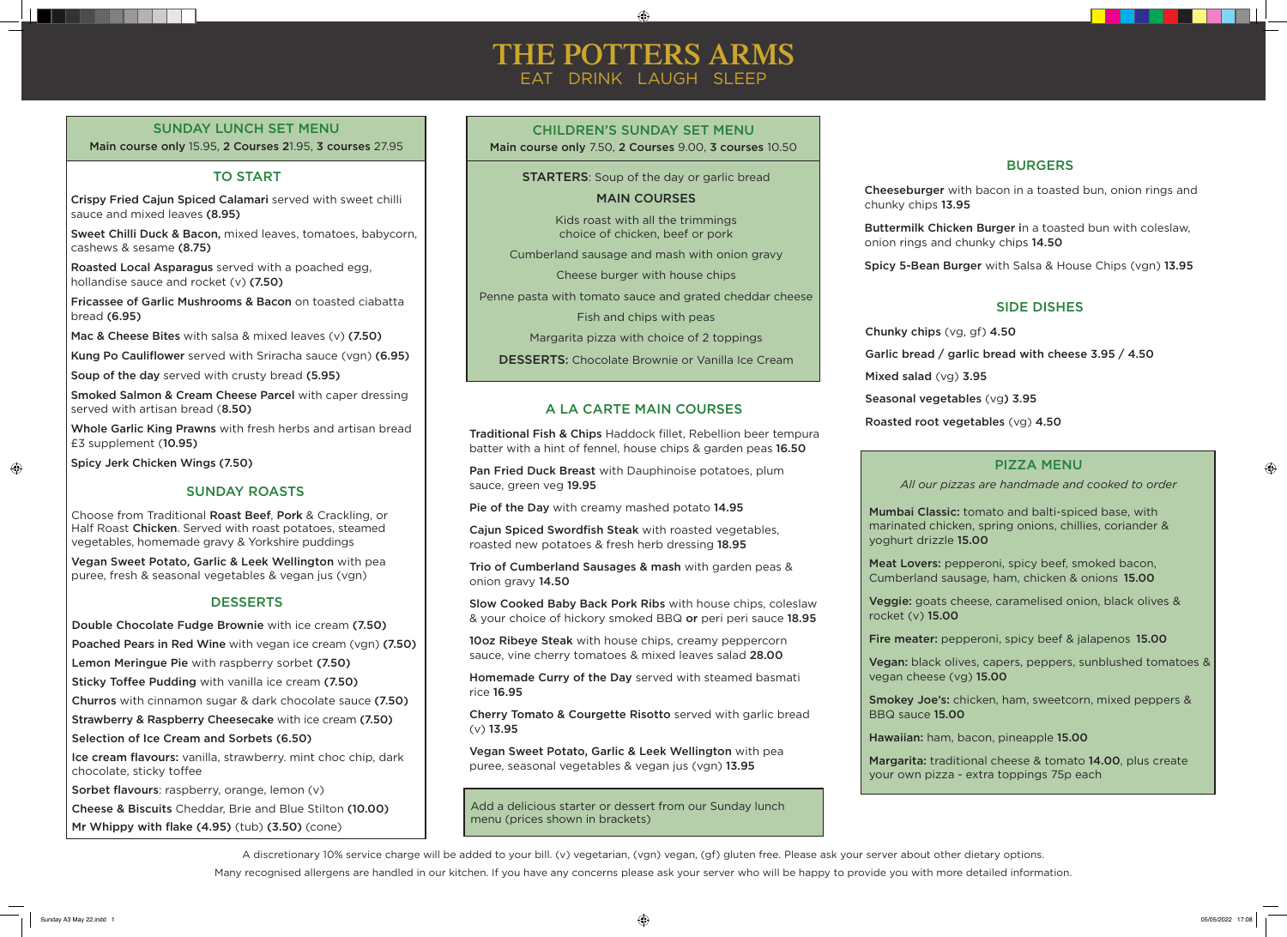#### $\bigoplus$

# **THE POTTERS ARMS** EAT DRINK LAUGH SLEEP

Add a delicious starter or dessert from our Sunday lunch menu (prices shown in brackets)

#### SUNDAY LUNCH SET MENU

Main course only 15.95, 2 Courses 21.95, 3 courses 27.95

#### TO START

Choose from Traditional Roast Beef, Pork & Crackling, or Half Roast Chicken. Served with roast potatoes, steamed vegetables, homemade gravy & Yorkshire puddings

Chunky chips (vg, gf) 4.50 Garlic bread / garlic bread with cheese 3.95 / 4.50 Mixed salad (vg) 3.95 Seasonal vegetables (vg) 3.95 Roasted root vegetables (vg) 4.50

#### A LA CARTE MAIN COURSES

#### SIDE DISHES

#### SUNDAY ROASTS

Vegan Sweet Potato, Garlic & Leek Wellington with pea puree, fresh & seasonal vegetables & vegan jus (vgn)

#### **DESSERTS**

10oz Ribeye Steak with house chips, creamy peppercorn sauce, vine cherry tomatoes & mixed leaves salad 28.00

Traditional Fish & Chips Haddock fillet, Rebellion beer tempura batter with a hint of fennel, house chips & garden peas 16.50

Pan Fried Duck Breast with Dauphinoise potatoes, plum sauce, green veg 19.95

Pie of the Day with creamy mashed potato 14.95

Cajun Spiced Swordfish Steak with roasted vegetables, roasted new potatoes & fresh herb dressing 18.95

Trio of Cumberland Sausages & mash with garden peas & onion gravy 14.50

Slow Cooked Baby Back Pork Ribs with house chips, coleslaw & your choice of hickory smoked BBQ or peri peri sauce 18.95

Homemade Curry of the Day served with steamed basmati rice 16.95

Cherry Tomato & Courgette Risotto served with garlic bread (v) 13.95

Vegan Sweet Potato, Garlic & Leek Wellington with pea puree, seasonal vegetables & vegan jus (vgn) 13.95

#### BURGERS

Cheeseburger with bacon in a toasted bun, onion rings and chunky chips 13.95

Buttermilk Chicken Burger in a toasted bun with coleslaw, onion rings and chunky chips 14.50

Spicy 5-Bean Burger with Salsa & House Chips (vgn) 13.95

#### MAIN COURSES

Smoked Salmon & Cream Cheese Parcel with caper dressing served with artisan bread (8.50)

Kids roast with all the trimmings choice of chicken, beef or pork

Cumberland sausage and mash with onion gravy

Cheese burger with house chips

Penne pasta with tomato sauce and grated cheddar cheese

Fish and chips with peas

Margarita pizza with choice of 2 toppings

DESSERTS: Chocolate Brownie or Vanilla Ice Cream

#### CHILDREN'S SUNDAY SET MENU

Main course only 7.50, 2 Courses 9.00, 3 courses 10.50

**STARTERS:** Soup of the day or garlic bread

#### PIZZA MENU

*All our pizzas are handmade and cooked to order*

Mumbai Classic: tomato and balti-spiced base, with marinated chicken, spring onions, chillies, coriander & yoghurt drizzle 15.00

Meat Lovers: pepperoni, spicy beef, smoked bacon, Cumberland sausage, ham, chicken & onions 15.00

Veggie: goats cheese, caramelised onion, black olives & rocket (v) 15.00

Fire meater: pepperoni, spicy beef & jalapenos 15.00

Vegan: black olives, capers, peppers, sunblushed tomatoes & vegan cheese (vg) 15.00

Smokey Joe's: chicken, ham, sweetcorn, mixed peppers &

BBQ sauce 15.00

Hawaiian: ham, bacon, pineapple 15.00

Margarita: traditional cheese & tomato 14.00, plus create your own pizza - extra toppings 75p each

 $\bigoplus$ 

A discretionary 10% service charge will be added to your bill. (v) vegetarian, (vgn) vegan, (gf) gluten free. Please ask your server about other dietary options. Many recognised allergens are handled in our kitchen. If you have any concerns please ask your server who will be happy to provide you with more detailed information.

Crispy Fried Cajun Spiced Calamari served with sweet chilli sauce and mixed leaves (8.95)

Sweet Chilli Duck & Bacon, mixed leaves, tomatoes, babycorn, cashews & sesame (8.75)

Roasted Local Asparagus served with a poached egg, hollandise sauce and rocket (v) (7.50)

Fricassee of Garlic Mushrooms & Bacon on toasted ciabatta bread (6.95)

Mac & Cheese Bites with salsa & mixed leaves (v) (7.50)

Kung Po Cauliflower served with Sriracha sauce (vgn) (6.95)

Soup of the day served with crusty bread (5.95)

Whole Garlic King Prawns with fresh herbs and artisan bread £3 supplement (10.95)

Spicy Jerk Chicken Wings (7.50)

 $\bigoplus$ 

Double Chocolate Fudge Brownie with ice cream (7.50)

Poached Pears in Red Wine with vegan ice cream (vgn) (7.50)

Lemon Meringue Pie with raspberry sorbet (7.50)

Sticky Toffee Pudding with vanilla ice cream (7.50)

Churros with cinnamon sugar & dark chocolate sauce (7.50)

Strawberry & Raspberry Cheesecake with ice cream (7.50)

Selection of Ice Cream and Sorbets (6.50)

Ice cream flavours: vanilla, strawberry. mint choc chip, dark chocolate, sticky toffee

Sorbet flavours: raspberry, orange, lemon (v)

Cheese & Biscuits Cheddar, Brie and Blue Stilton (10.00)

Mr Whippy with flake (4.95) (tub) (3.50) (cone)